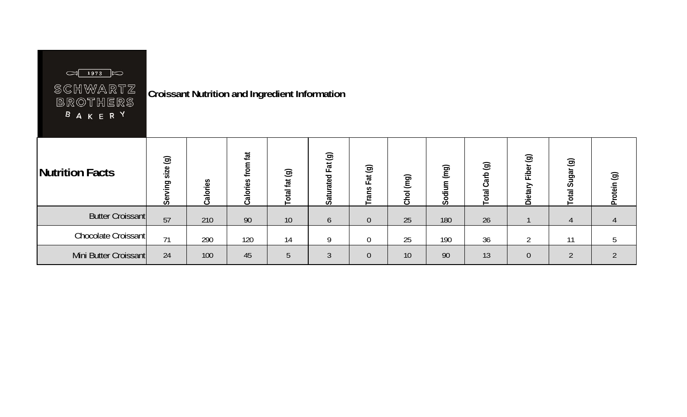| $\frac{1873}{1}$ 1973<br>SCHWARTZ<br><b>BROTHERS</b><br><b>BAKERY</b> |                  |          |                   | <b>Croissant Nutrition and Ingredient Information</b> |                   |                  |           |             |                |                   |                                  |                |
|-----------------------------------------------------------------------|------------------|----------|-------------------|-------------------------------------------------------|-------------------|------------------|-----------|-------------|----------------|-------------------|----------------------------------|----------------|
| <b>Nutrition Facts</b>                                                | Serving size (g) | Calories | Calories from fat | Total fat (g)                                         | Saturated Fat (g) | Trans Fat (g)    | Chol (mg) | Sodium (mg) | Total Carb (g) | Dietary Fiber (g) | $\circledcirc$<br>Sugar<br>Total | Protein (g)    |
| <b>Butter Croissant</b>                                               | 57               | 210      | 90                | 10                                                    | 6                 | $\theta$         | 25        | 180         | 26             |                   | 4                                | 4              |
| Chocolate Croissant                                                   | 71               | 290      | 120               | 14                                                    | 9                 | $\boldsymbol{0}$ | 25        | 190         | 36             | $\overline{2}$    | 11                               | 5              |
| Mini Butter Croissant                                                 | 24               | 100      | 45                | 5                                                     | $\mathfrak{Z}$    | $\theta$         | 10        | 90          | 13             | $\overline{0}$    | $\overline{2}$                   | $\overline{2}$ |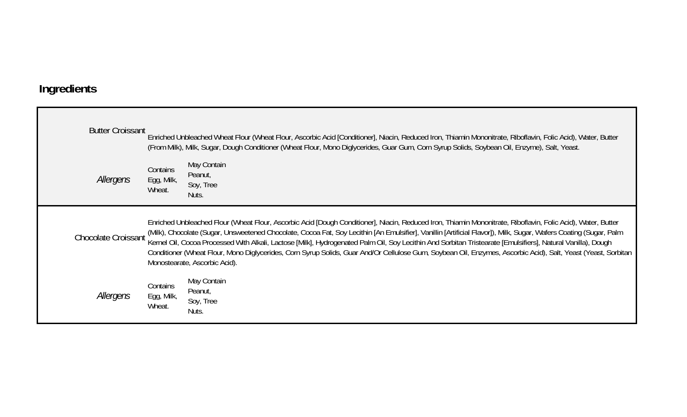## **Ingredients**

| <b>Butter Croissant</b>    |                                  | Enriched Unbleached Wheat Flour (Wheat Flour, Ascorbic Acid [Conditioner], Niacin, Reduced Iron, Thiamin Mononitrate, Riboflavin, Folic Acid), Water, Butter<br>(From Milk), Milk, Sugar, Dough Conditioner (Wheat Flour, Mono Diglycerides, Guar Gum, Corn Syrup Solids, Soybean Oil, Enzyme), Salt, Yeast.                                                                                                                                                                                                                                                                                                                                                                                        |
|----------------------------|----------------------------------|-----------------------------------------------------------------------------------------------------------------------------------------------------------------------------------------------------------------------------------------------------------------------------------------------------------------------------------------------------------------------------------------------------------------------------------------------------------------------------------------------------------------------------------------------------------------------------------------------------------------------------------------------------------------------------------------------------|
| Allergens                  | Contains<br>Egg, Milk,<br>Wheat. | May Contain<br>Peanut,<br>Soy, Tree<br>Nuts.                                                                                                                                                                                                                                                                                                                                                                                                                                                                                                                                                                                                                                                        |
| <b>Chocolate Croissant</b> |                                  | Enriched Unbleached Flour (Wheat Flour, Ascorbic Acid [Dough Conditioner], Niacin, Reduced Iron, Thiamin Mononitrate, Riboflavin, Folic Acid), Water, Butter<br>(Milk), Chocolate (Sugar, Unsweetened Chocolate, Cocoa Fat, Soy Lecithin [An Emulsifier], Vanillin [Artificial Flavor]), Milk, Sugar, Wafers Coating (Sugar, Palm<br>Kernel Oil, Cocoa Processed With Alkali, Lactose [Milk], Hydrogenated Palm Oil, Soy Lecithin And Sorbitan Tristearate [Emulsifiers], Natural Vanilla), Dough<br>Conditioner (Wheat Flour, Mono Diglycerides, Corn Syrup Solids, Guar And/Or Cellulose Gum, Soybean Oil, Enzymes, Ascorbic Acid), Salt, Yeast (Yeast, Sorbitan<br>Monostearate, Ascorbic Acid). |
| Allergens                  | Contains<br>Egg, Milk,<br>Wheat. | May Contain<br>Peanut,<br>Soy, Tree<br>Nuts.                                                                                                                                                                                                                                                                                                                                                                                                                                                                                                                                                                                                                                                        |